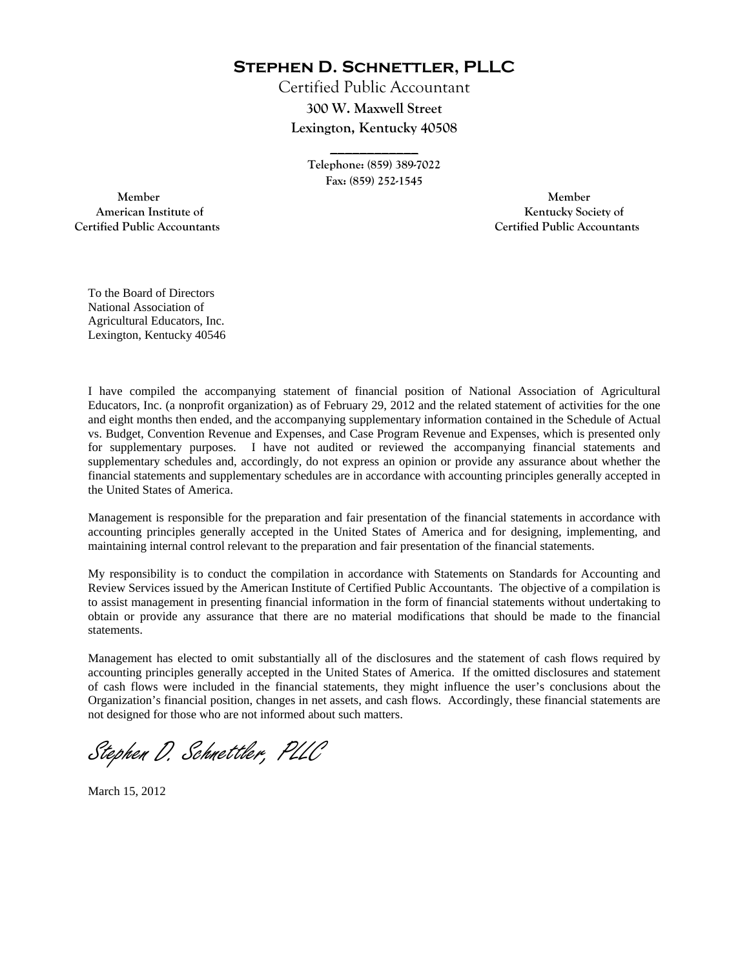**Stephen D. Schnettler, PLLC**

Certified Public Accountant **300 W. Maxwell Street Lexington, Kentucky 40508** 

> **Telephone: (859) 389-7022 Fax: (859) 252-1545**

**\_\_\_\_\_\_\_\_\_\_\_\_** 

 **Member Member Certified Public Accountants Certified Public Accountants** 

American Institute of **Kentucky Society of** 

To the Board of Directors National Association of Agricultural Educators, Inc. Lexington, Kentucky 40546

I have compiled the accompanying statement of financial position of National Association of Agricultural Educators, Inc. (a nonprofit organization) as of February 29, 2012 and the related statement of activities for the one and eight months then ended, and the accompanying supplementary information contained in the Schedule of Actual vs. Budget, Convention Revenue and Expenses, and Case Program Revenue and Expenses, which is presented only for supplementary purposes. I have not audited or reviewed the accompanying financial statements and supplementary schedules and, accordingly, do not express an opinion or provide any assurance about whether the financial statements and supplementary schedules are in accordance with accounting principles generally accepted in the United States of America.

Management is responsible for the preparation and fair presentation of the financial statements in accordance with accounting principles generally accepted in the United States of America and for designing, implementing, and maintaining internal control relevant to the preparation and fair presentation of the financial statements.

My responsibility is to conduct the compilation in accordance with Statements on Standards for Accounting and Review Services issued by the American Institute of Certified Public Accountants. The objective of a compilation is to assist management in presenting financial information in the form of financial statements without undertaking to obtain or provide any assurance that there are no material modifications that should be made to the financial statements.

Management has elected to omit substantially all of the disclosures and the statement of cash flows required by accounting principles generally accepted in the United States of America. If the omitted disclosures and statement of cash flows were included in the financial statements, they might influence the user's conclusions about the Organization's financial position, changes in net assets, and cash flows. Accordingly, these financial statements are not designed for those who are not informed about such matters.

Stephen D. Schnettler, PLLC

March 15, 2012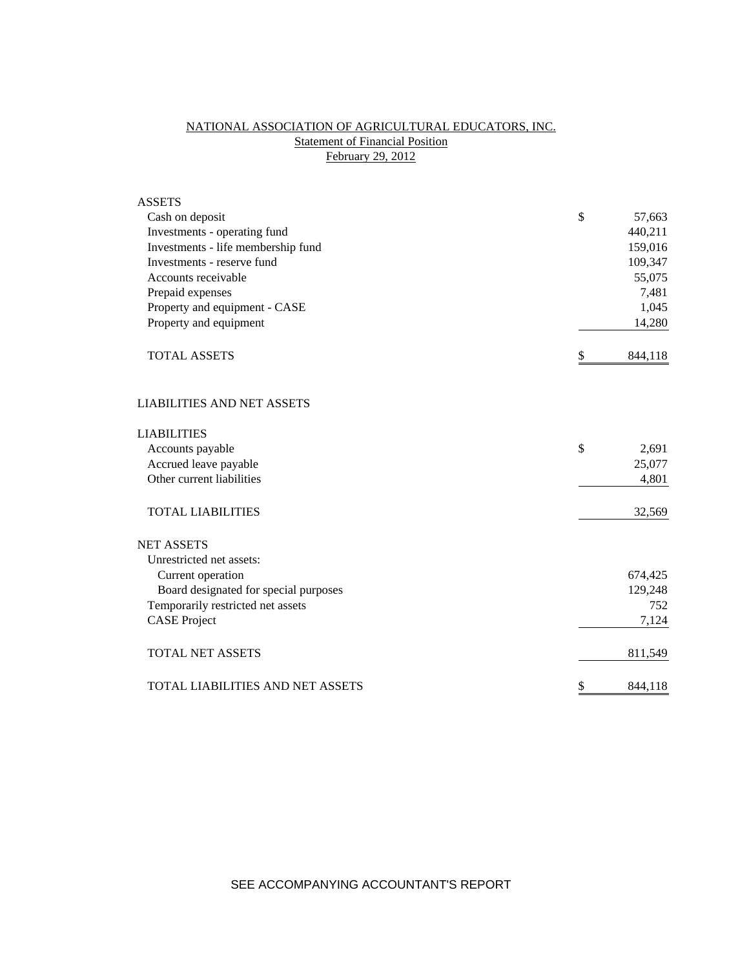# NATIONAL ASSOCIATION OF AGRICULTURAL EDUCATORS, INC. **Statement of Financial Position** February 29, 2012

| <b>ASSETS</b>                         |               |
|---------------------------------------|---------------|
| Cash on deposit                       | \$<br>57,663  |
| Investments - operating fund          | 440,211       |
| Investments - life membership fund    | 159,016       |
| Investments - reserve fund            | 109,347       |
| Accounts receivable                   | 55,075        |
| Prepaid expenses                      | 7,481         |
| Property and equipment - CASE         | 1,045         |
| Property and equipment                | 14,280        |
| <b>TOTAL ASSETS</b>                   | \$<br>844,118 |
| <b>LIABILITIES AND NET ASSETS</b>     |               |
| <b>LIABILITIES</b>                    |               |
| Accounts payable                      | \$<br>2,691   |
| Accrued leave payable                 | 25,077        |
| Other current liabilities             | 4,801         |
| <b>TOTAL LIABILITIES</b>              | 32,569        |
| <b>NET ASSETS</b>                     |               |
| Unrestricted net assets:              |               |
| Current operation                     | 674,425       |
| Board designated for special purposes | 129,248       |
| Temporarily restricted net assets     | 752           |
| <b>CASE Project</b>                   | 7,124         |
| <b>TOTAL NET ASSETS</b>               | 811,549       |
| TOTAL LIABILITIES AND NET ASSETS      | \$<br>844,118 |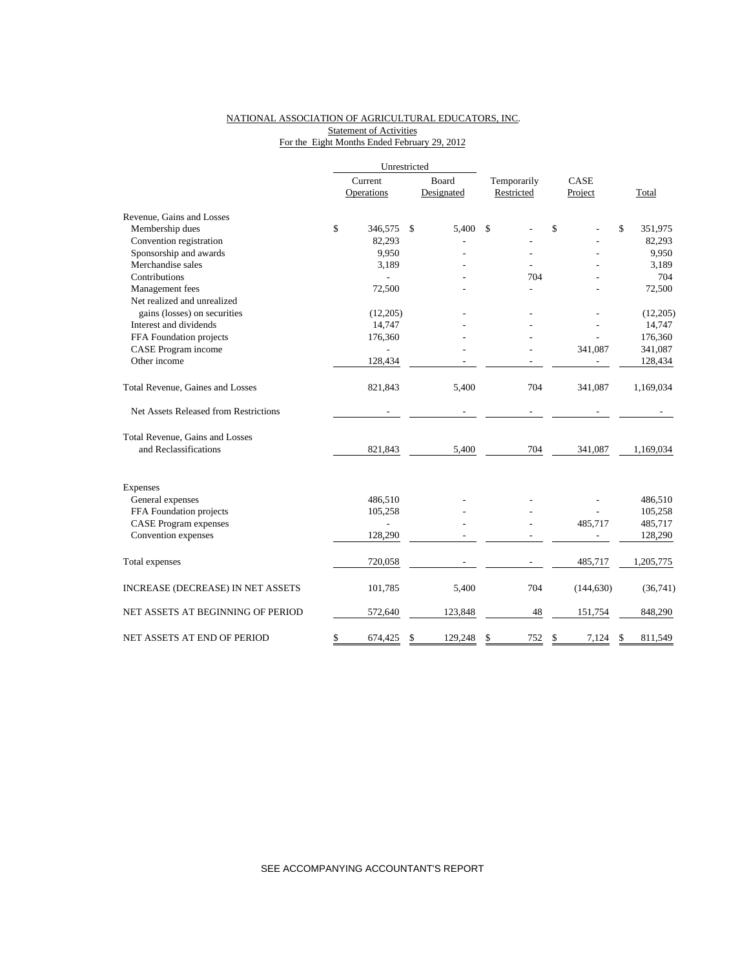# NATIONAL ASSOCIATION OF AGRICULTURAL EDUCATORS, INC. **Statement of Activities** For the Eight Months Ended February 29, 2012

|                                       | Unrestricted |            |              |            |             |    | CASE       |    |           |
|---------------------------------------|--------------|------------|--------------|------------|-------------|----|------------|----|-----------|
|                                       | Current      |            | Board        |            | Temporarily |    |            |    |           |
|                                       |              | Operations |              | Designated | Restricted  |    | Project    |    | Total     |
| Revenue, Gains and Losses             |              |            |              |            |             |    |            |    |           |
| Membership dues                       | \$           | 346,575    | $\mathbb{S}$ | 5,400      | \$          | \$ |            | \$ | 351,975   |
| Convention registration               |              | 82,293     |              |            |             |    |            |    | 82,293    |
| Sponsorship and awards                |              | 9,950      |              |            |             |    |            |    | 9,950     |
| Merchandise sales                     |              | 3,189      |              |            |             |    |            |    | 3,189     |
| Contributions                         |              |            |              |            | 704         |    |            |    | 704       |
| Management fees                       |              | 72,500     |              |            |             |    |            |    | 72,500    |
| Net realized and unrealized           |              |            |              |            |             |    |            |    |           |
| gains (losses) on securities          |              | (12,205)   |              |            |             |    |            |    | (12,205)  |
| Interest and dividends                |              | 14,747     |              |            |             |    |            |    | 14,747    |
| FFA Foundation projects               |              | 176,360    |              |            |             |    |            |    | 176,360   |
| CASE Program income                   |              |            |              |            |             |    | 341,087    |    | 341,087   |
| Other income                          |              | 128,434    |              |            |             |    |            |    | 128,434   |
| Total Revenue, Gaines and Losses      |              | 821,843    |              | 5,400      | 704         |    | 341,087    |    | 1,169,034 |
| Net Assets Released from Restrictions |              |            |              |            |             |    |            |    |           |
| Total Revenue, Gains and Losses       |              |            |              |            |             |    |            |    |           |
| and Reclassifications                 |              | 821,843    |              | 5,400      | 704         |    | 341,087    |    | 1,169,034 |
| Expenses                              |              |            |              |            |             |    |            |    |           |
| General expenses                      |              | 486,510    |              |            |             |    |            |    | 486,510   |
| FFA Foundation projects               |              | 105,258    |              |            |             |    |            |    | 105,258   |
| <b>CASE</b> Program expenses          |              |            |              |            |             |    | 485,717    |    | 485,717   |
| Convention expenses                   |              | 128,290    |              |            |             |    |            |    | 128,290   |
| Total expenses                        |              | 720,058    |              |            |             |    | 485,717    |    | 1,205,775 |
| INCREASE (DECREASE) IN NET ASSETS     |              | 101,785    |              | 5,400      | 704         |    | (144, 630) |    | (36,741)  |
| NET ASSETS AT BEGINNING OF PERIOD     |              | 572,640    |              | 123,848    | 48          |    | 151,754    |    | 848,290   |
| NET ASSETS AT END OF PERIOD           | \$           | 674,425    | \$           | 129,248    | \$<br>752   | \$ | 7,124      | \$ | 811,549   |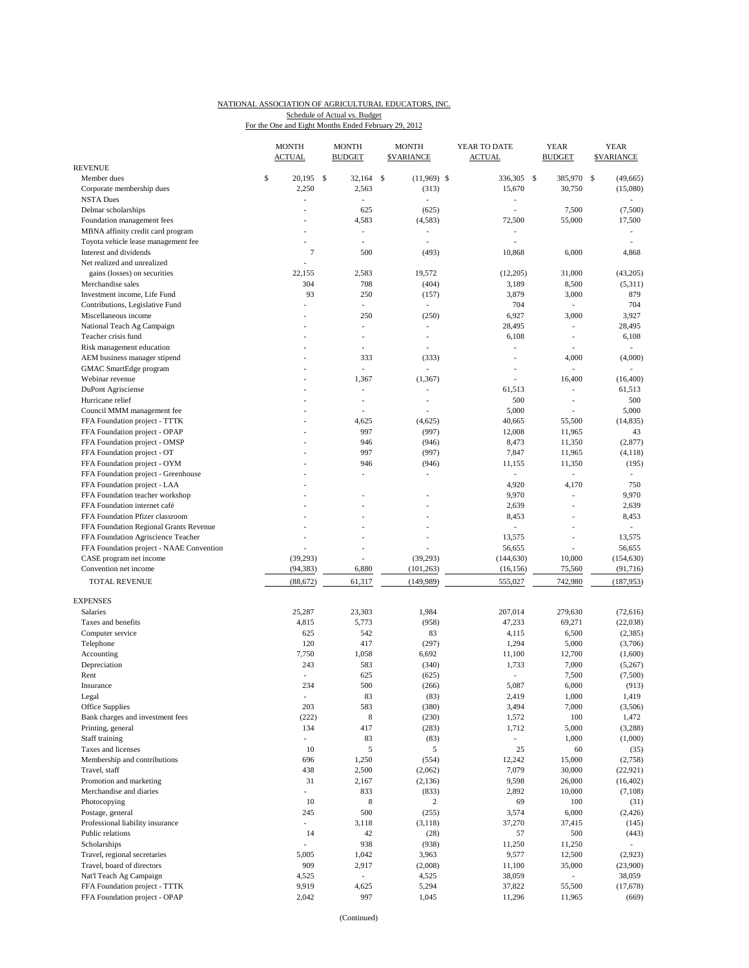#### NATIONAL ASSOCIATION OF AGRICULTURAL EDUCATORS, INC. Schedule of Actual vs. Budget

For the One and Eight Months Ended February 29, 2012

|                                                           | <b>MONTH</b><br><b>ACTUAL</b>  | <b>MONTH</b><br><b>BUDGET</b> | <b>MONTH</b><br><b>\$VARIANCE</b> | YEAR TO DATE<br><b>ACTUAL</b>  | <b>YEAR</b><br><b>BUDGET</b> | <b>YEAR</b><br><b>\$VARIANCE</b> |
|-----------------------------------------------------------|--------------------------------|-------------------------------|-----------------------------------|--------------------------------|------------------------------|----------------------------------|
| <b>REVENUE</b>                                            | 20.195                         |                               |                                   |                                |                              |                                  |
| Member dues                                               | \$<br>2,250                    | - \$<br>32,164<br>2,563       | $\mathsf{\$}$<br>$(11,969)$ \$    | 336,305 \$<br>15,670           | 385,970<br>30,750            | - \$<br>(49, 665)                |
| Corporate membership dues<br><b>NSTA Dues</b>             | ٠                              | ä,                            | (313)<br>÷,                       | ٠                              |                              | (15,080)<br>٠                    |
| Delmar scholarships                                       | ÷,                             | 625                           | (625)                             | ÷,                             | 7,500                        | (7,500)                          |
| Foundation management fees                                |                                | 4,583                         | (4,583)                           | 72,500                         | 55,000                       | 17,500                           |
| MBNA affinity credit card program                         | $\overline{a}$                 | $\overline{\phantom{0}}$      | $\overline{\phantom{a}}$          | $\overline{\phantom{a}}$       |                              |                                  |
| Toyota vehicle lease management fee                       | ä,                             | L.                            | ÷,                                | ÷                              |                              |                                  |
| Interest and dividends                                    | $\overline{7}$                 | 500                           | (493)                             | 10,868                         | 6,000                        | 4,868                            |
| Net realized and unrealized                               |                                |                               |                                   |                                |                              |                                  |
| gains (losses) on securities                              | 22,155                         | 2,583                         | 19,572                            | (12,205)                       | 31,000                       | (43,205)                         |
| Merchandise sales                                         | 304                            | 708                           | (404)                             | 3,189                          | 8,500                        | (5,311)                          |
| Investment income, Life Fund                              | 93                             | 250                           | (157)                             | 3,879                          | 3,000                        | 879                              |
| Contributions, Legislative Fund                           |                                | $\overline{a}$                | $\overline{\phantom{a}}$          | 704                            | $\overline{\phantom{a}}$     | 704                              |
| Miscellaneous income                                      |                                | 250                           | (250)                             | 6,927                          | 3,000                        | 3,927                            |
| National Teach Ag Campaign                                | ä,                             | ä,                            | ÷,                                | 28,495                         | i,                           | 28,495                           |
| Teacher crisis fund                                       | ٠                              | L.<br>L.                      | ÷,<br>÷,                          | 6,108                          | ÷,                           | 6,108<br>÷.                      |
| Risk management education<br>AEM business manager stipend |                                | 333                           | (333)                             |                                | 4,000                        | (4,000)                          |
| GMAC SmartEdge program                                    |                                | $\overline{\phantom{a}}$      | ÷,                                |                                | $\sim$                       |                                  |
| Webinar revenue                                           |                                | 1,367                         | (1, 367)                          | ÷,                             | 16,400                       | (16, 400)                        |
| <b>DuPont Agrisciense</b>                                 |                                | ä,                            | L,                                | 61,513                         | L,                           | 61,513                           |
| Hurricane relief                                          |                                | ÷,                            | ä,                                | 500                            | i,                           | 500                              |
| Council MMM management fee                                |                                |                               |                                   | 5,000                          |                              | 5,000                            |
| FFA Foundation project - TTTK                             | ٠                              | 4,625                         | (4,625)                           | 40,665                         | 55,500                       | (14, 835)                        |
| FFA Foundation project - OPAP                             |                                | 997                           | (997)                             | 12,008                         | 11,965                       | 43                               |
| FFA Foundation project - OMSP                             |                                | 946                           | (946)                             | 8,473                          | 11,350                       | (2,877)                          |
| FFA Foundation project - OT                               |                                | 997                           | (997)                             | 7,847                          | 11,965                       | (4,118)                          |
| FFA Foundation project - OYM                              |                                | 946                           | (946)                             | 11,155                         | 11,350                       | (195)                            |
| FFA Foundation project - Greenhouse                       |                                | ä,                            | ÷,                                | ÷.                             |                              |                                  |
| FFA Foundation project - LAA                              |                                |                               |                                   | 4,920                          | 4,170                        | 750                              |
| FFA Foundation teacher workshop                           |                                |                               |                                   | 9,970                          | ÷,                           | 9,970                            |
| FFA Foundation internet café                              |                                |                               | J.                                | 2,639                          | L,                           | 2,639                            |
| FFA Foundation Pfizer classroom                           |                                | L.                            | ٠                                 | 8,453                          | L                            | 8,453                            |
| FFA Foundation Regional Grants Revenue                    |                                |                               |                                   |                                |                              |                                  |
| FFA Foundation Agriscience Teacher                        |                                |                               |                                   | 13,575                         | $\overline{a}$               | 13,575                           |
| FFA Foundation project - NAAE Convention                  |                                | L,                            |                                   | 56,655                         |                              | 56,655                           |
| CASE program net income<br>Convention net income          | (39, 293)                      | 6,880                         | (39,293)                          | (144, 630)                     | 10,000                       | (154, 630)                       |
|                                                           | (94, 383)                      |                               | (101, 263)                        | (16, 156)                      | 75,560                       | (91, 716)                        |
| <b>TOTAL REVENUE</b>                                      | (88, 672)                      | 61,317                        | (149, 989)                        | 555,027                        | 742,980                      | (187, 953)                       |
| <b>EXPENSES</b>                                           |                                |                               |                                   |                                |                              |                                  |
| Salaries                                                  | 25,287                         | 23,303                        | 1,984                             | 207,014                        | 279,630                      | (72, 616)                        |
| Taxes and benefits                                        | 4,815                          | 5,773                         | (958)                             | 47,233                         | 69,271                       | (22,038)                         |
| Computer service                                          | 625                            | 542                           | 83                                | 4,115                          | 6,500                        | (2,385)                          |
| Telephone                                                 | 120                            | 417                           | (297)                             | 1,294                          | 5,000                        | (3,706)                          |
| Accounting                                                | 7,750                          | 1,058                         | 6,692                             | 11,100                         | 12,700                       | (1,600)                          |
| Depreciation                                              | 243                            | 583                           | (340)                             | 1,733                          | 7,000                        | (5,267)                          |
| Rent                                                      | L,                             | 625                           | (625)                             |                                | 7,500                        | (7,500)                          |
| Insurance                                                 | 234                            | 500                           | (266)                             | 5,087                          | 6,000                        | (913)                            |
| Legal                                                     | ÷,                             | 83                            | (83)                              | 2,419                          | 1,000                        | 1,419                            |
| Office Supplies                                           | 203                            | 583                           | (380)                             | 3,494                          | 7,000                        | (3,506)                          |
| Bank charges and investment fees                          | (222)                          | $\,$ 8 $\,$                   | (230)                             | 1,572                          | 100                          | 1,472                            |
| Printing, general                                         | 134                            | 417                           | (283)                             | 1,712                          | 5,000                        | (3,288)                          |
| Staff training<br>Taxes and licenses                      | $\overline{\phantom{a}}$<br>10 | 83<br>5                       | (83)<br>5                         | $\overline{\phantom{a}}$<br>25 | 1,000<br>60                  | (1,000)                          |
| Membership and contributions                              | 696                            | 1,250                         | (554)                             | 12,242                         | 15,000                       | (35)<br>(2,758)                  |
| Travel, staff                                             | 438                            | 2,500                         | (2,062)                           | 7,079                          | 30,000                       | (22, 921)                        |
| Promotion and marketing                                   | 31                             | 2,167                         | (2, 136)                          | 9,598                          | 26,000                       | (16, 402)                        |
| Merchandise and diaries                                   | ÷.                             | 833                           | (833)                             | 2,892                          | 10,000                       | (7,108)                          |
| Photocopying                                              | 10                             | 8                             | $\overline{c}$                    | 69                             | 100                          | (31)                             |
| Postage, general                                          | 245                            | 500                           | (255)                             | 3,574                          | 6,000                        | (2, 426)                         |
| Professional liability insurance                          | $\overline{\phantom{a}}$       | 3,118                         | (3, 118)                          | 37,270                         | 37,415                       | (145)                            |
| Public relations                                          | 14                             | 42                            | (28)                              | 57                             | 500                          | (443)                            |
| Scholarships                                              |                                | 938                           | (938)                             | 11,250                         | 11,250                       |                                  |
| Travel, regional secretaries                              | 5,005                          | 1,042                         | 3,963                             | 9,577                          | 12,500                       | (2,923)                          |
| Travel, board of directors                                | 909                            | 2,917                         | (2,008)                           | 11,100                         | 35,000                       | (23,900)                         |
| Nat'l Teach Ag Campaign                                   | 4,525                          | ÷,                            | 4,525                             | 38,059                         | $\overline{\phantom{a}}$     | 38,059                           |
| FFA Foundation project - TTTK                             | 9,919                          | 4,625                         | 5,294                             | 37,822                         | 55,500                       | (17,678)                         |
| FFA Foundation project - OPAP                             | 2,042                          | 997                           | 1,045                             | 11,296                         | 11,965                       | (669)                            |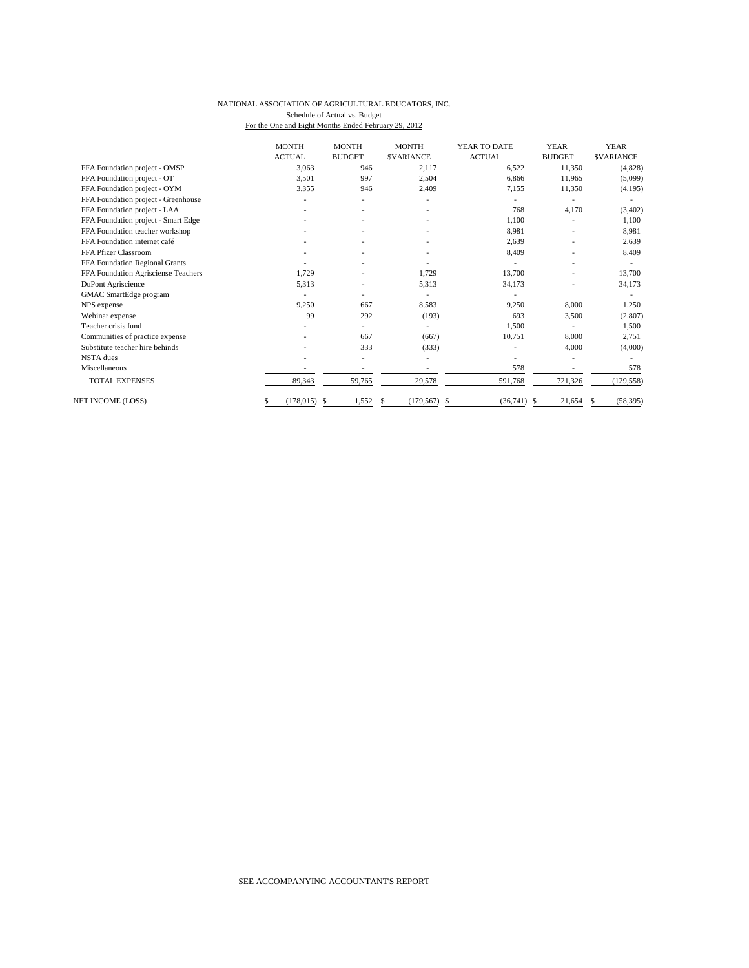#### NATIONAL ASSOCIATION OF AGRICULTURAL EDUCATORS, INC. Schedule of Actual vs. Budget

For the One and Eight Months Ended February 29, 2012

|                                     | <b>MONTH</b>   | <b>MONTH</b>   | <b>MONTH</b>           | YEAR TO DATE  | <b>YEAR</b>   | <b>YEAR</b>              |
|-------------------------------------|----------------|----------------|------------------------|---------------|---------------|--------------------------|
|                                     | <b>ACTUAL</b>  | <b>BUDGET</b>  | <b>\$VARIANCE</b>      | <b>ACTUAL</b> | <b>BUDGET</b> | <b>\$VARIANCE</b>        |
| FFA Foundation project - OMSP       | 3,063          | 946            | 2,117                  | 6,522         | 11,350        | (4,828)                  |
| FFA Foundation project - OT         | 3.501          | 997            | 2,504                  | 6.866         | 11,965        | (5,099)                  |
| FFA Foundation project - OYM        | 3,355          | 946            | 2,409                  | 7,155         | 11,350        | (4, 195)                 |
| FFA Foundation project - Greenhouse |                | $\overline{a}$ |                        |               |               | $\overline{\phantom{a}}$ |
| FFA Foundation project - LAA        |                |                |                        | 768           | 4.170         | (3, 402)                 |
| FFA Foundation project - Smart Edge |                |                |                        | 1.100         |               | 1,100                    |
| FFA Foundation teacher workshop     |                |                |                        | 8,981         |               | 8,981                    |
| FFA Foundation internet café        |                |                |                        | 2,639         |               | 2,639                    |
| FFA Pfizer Classroom                |                |                |                        | 8,409         |               | 8,409                    |
| FFA Foundation Regional Grants      |                |                |                        |               |               |                          |
| FFA Foundation Agrisciense Teachers | 1.729          |                | 1,729                  | 13,700        |               | 13,700                   |
| DuPont Agriscience                  | 5,313          |                | 5,313                  | 34,173        |               | 34,173                   |
| GMAC SmartEdge program              |                |                |                        |               |               |                          |
| NPS expense                         | 9,250          | 667            | 8,583                  | 9,250         | 8,000         | 1,250                    |
| Webinar expense                     | 99             | 292            | (193)                  | 693           | 3,500         | (2,807)                  |
| Teacher crisis fund                 |                | ۰              |                        | 1,500         |               | 1,500                    |
| Communities of practice expense     |                | 667            | (667)                  | 10,751        | 8,000         | 2,751                    |
| Substitute teacher hire behinds     |                | 333            | (333)                  |               | 4,000         | (4,000)                  |
| <b>NSTA</b> dues                    |                |                | ٠                      |               |               |                          |
| Miscellaneous                       |                |                |                        | 578           |               | 578                      |
| <b>TOTAL EXPENSES</b>               | 89.343         | 59,765         | 29,578                 | 591.768       | 721,326       | (129, 558)               |
| NET INCOME (LOSS)                   | $(178.015)$ \$ | 1,552          | $(179, 567)$ \$<br>\$. | $(36,741)$ \$ | 21.654        | (58, 395)<br>S           |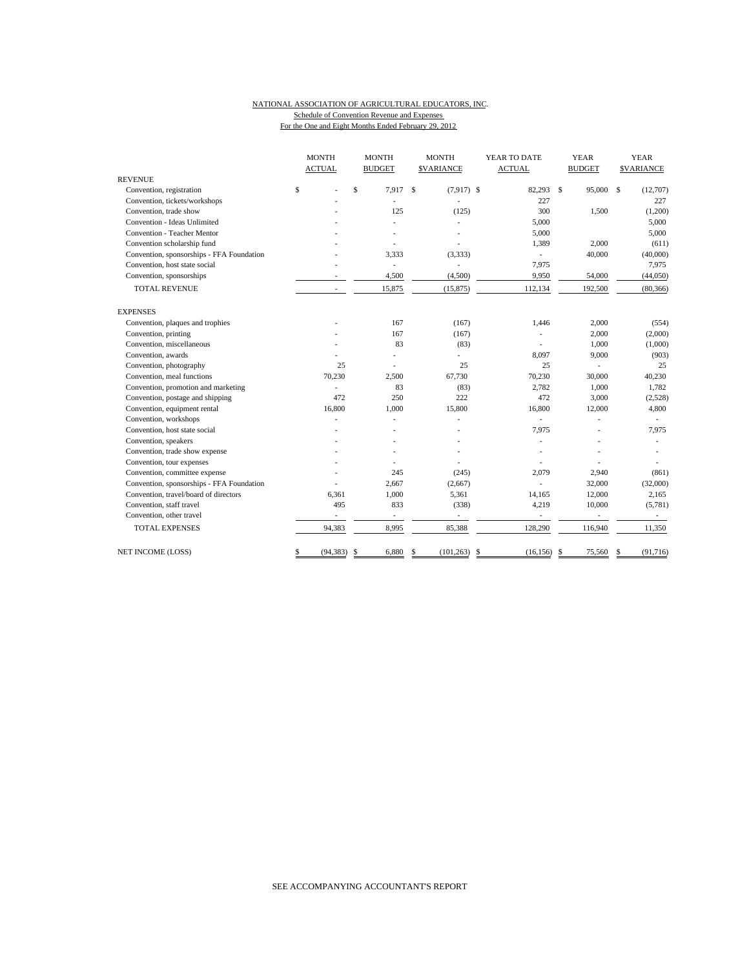### NATIONAL ASSOCIATION OF AGRICULTURAL EDUCATORS, INC. Schedule of Convention Revenue and Expenses For the One and Eight Months Ended February 29, 2012

|                                           | <b>MONTH</b>    | <b>MONTH</b>             | <b>MONTH</b>                  | YEAR TO DATE          | <b>YEAR</b>                  | <b>YEAR</b>             |
|-------------------------------------------|-----------------|--------------------------|-------------------------------|-----------------------|------------------------------|-------------------------|
|                                           | <b>ACTUAL</b>   | <b>BUDGET</b>            | <b>SVARIANCE</b>              | <b>ACTUAL</b>         | <b>BUDGET</b>                | <b>SVARIANCE</b>        |
| <b>REVENUE</b>                            |                 |                          |                               |                       |                              |                         |
| Convention, registration                  | \$              | \$<br>7.917              | <sup>\$</sup><br>$(7,917)$ \$ | 82,293                | $\mathbf{\hat{s}}$<br>95,000 | $\mathbf S$<br>(12,707) |
| Convention, tickets/workshops             |                 |                          |                               | 227                   |                              | 227                     |
| Convention, trade show                    |                 | 125                      | (125)                         | 300                   | 1,500                        | (1,200)                 |
| Convention - Ideas Unlimited              |                 |                          | L.                            | 5,000                 |                              | 5,000                   |
| Convention - Teacher Mentor               |                 |                          |                               | 5,000                 |                              | 5,000                   |
| Convention scholarship fund               |                 |                          |                               | 1,389                 | 2,000                        | (611)                   |
| Convention, sponsorships - FFA Foundation |                 | 3,333                    | (3,333)                       | ÷,                    | 40,000                       | (40,000)                |
| Convention, host state social             |                 | $\overline{\phantom{a}}$ | L,                            | 7,975                 |                              | 7,975                   |
| Convention, sponsorships                  |                 | 4,500                    | (4,500)                       | 9,950                 | 54,000                       | (44,050)                |
| <b>TOTAL REVENUE</b>                      |                 | 15,875                   | (15, 875)                     | 112,134               | 192,500                      | (80, 366)               |
| <b>EXPENSES</b>                           |                 |                          |                               |                       |                              |                         |
| Convention, plaques and trophies          |                 | 167                      | (167)                         | 1,446                 | 2,000                        | (554)                   |
| Convention, printing                      |                 | 167                      | (167)                         |                       | 2,000                        | (2,000)                 |
| Convention, miscellaneous                 |                 | 83                       | (83)                          |                       | 1,000                        | (1,000)                 |
| Convention, awards                        |                 |                          | ÷.                            | 8,097                 | 9,000                        | (903)                   |
| Convention, photography                   | 25              |                          | 25                            | 25                    | ä,                           | 25                      |
| Convention, meal functions                | 70,230          | 2.500                    | 67,730                        | 70,230                | 30,000                       | 40,230                  |
| Convention, promotion and marketing       |                 | 83                       | (83)                          | 2,782                 | 1,000                        | 1,782                   |
| Convention, postage and shipping          | 472             | 250                      | 222                           | 472                   | 3,000                        | (2,528)                 |
| Convention, equipment rental              | 16,800          | 1,000                    | 15,800                        | 16,800                | 12,000                       | 4,800                   |
| Convention, workshops                     |                 |                          |                               |                       |                              |                         |
| Convention, host state social             |                 |                          |                               | 7,975                 |                              | 7,975                   |
| Convention, speakers                      |                 |                          |                               |                       |                              |                         |
| Convention, trade show expense            |                 |                          |                               |                       |                              |                         |
| Convention, tour expenses                 |                 |                          |                               |                       |                              |                         |
| Convention, committee expense             |                 | 245                      | (245)                         | 2,079                 | 2,940                        | (861)                   |
| Convention, sponsorships - FFA Foundation |                 | 2,667                    | (2,667)                       |                       | 32,000                       | (32,000)                |
| Convention, travel/board of directors     | 6,361           | 1,000                    | 5,361                         | 14,165                | 12,000                       | 2,165                   |
| Convention, staff travel                  | 495             | 833                      | (338)                         | 4,219                 | 10,000                       | (5,781)                 |
| Convention, other travel                  |                 | $\overline{\phantom{a}}$ |                               | $\overline{a}$        |                              |                         |
| <b>TOTAL EXPENSES</b>                     | 94,383          | 8,995                    | 85,388                        | 128,290               | 116,940                      | 11,350                  |
| NET INCOME (LOSS)                         | \$<br>(94, 383) | 6,880<br>\$              | \$<br>(101, 263)              | -\$<br>$(16, 156)$ \$ | 75,560                       | (91, 716)<br>S          |